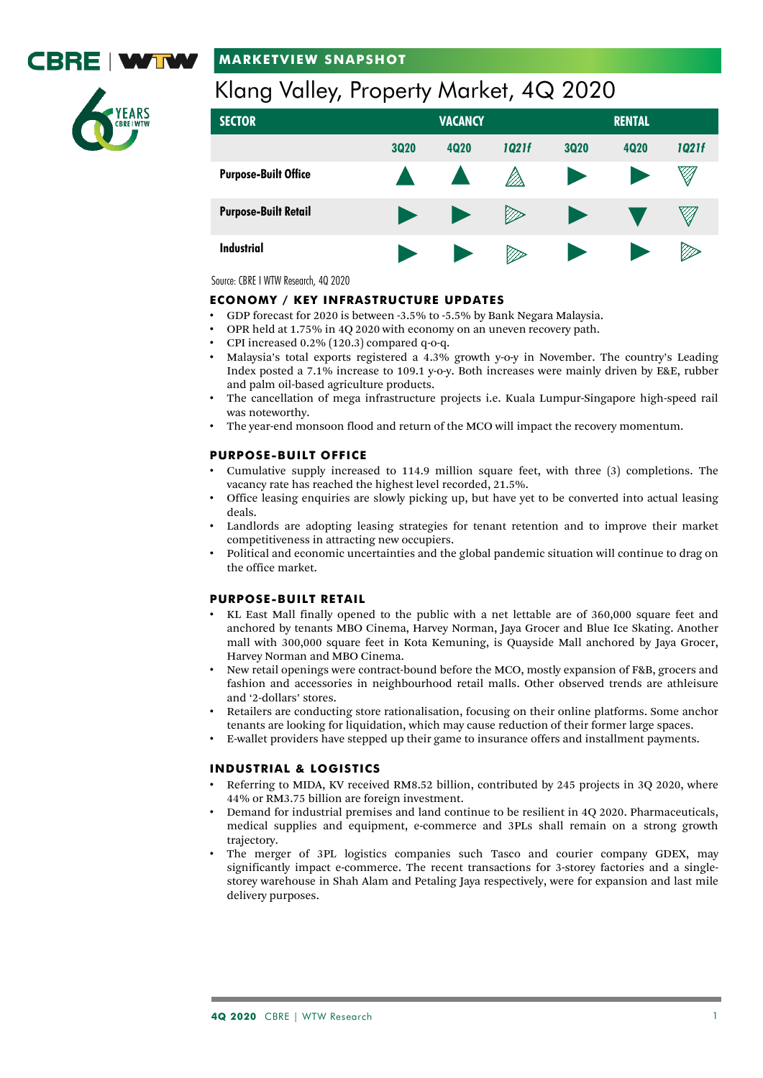

# **MARKETVIEW SNAPSHOT**

# Klang Valley, Property Market, 4Q 2020

| <b>SECTOR</b>               | <b>VACANCY</b>        |                       |       | <b>RENTAL</b> |             |       |
|-----------------------------|-----------------------|-----------------------|-------|---------------|-------------|-------|
|                             | <b>3Q20</b>           | <b>4Q20</b>           | 1021f | <b>3Q20</b>   | <b>4Q20</b> | 1Q21f |
| <b>Purpose-Built Office</b> |                       |                       |       | <b>D</b>      |             | Ø     |
| <b>Purpose-Built Retail</b> | $\blacktriangleright$ | $\blacktriangleright$ | Þ     |               |             | Ø     |
| Industrial                  | - 3                   | - 7                   |       |               |             | Ø     |

Source: CBRE I WTW Research, 4Q 2020

# **ECONOMY / KEY INFRASTRUCTURE UPDATES**

- GDP forecast for 2020 is between -3.5% to -5.5% by Bank Negara Malaysia.
- OPR held at 1.75% in 4Q 2020 with economy on an uneven recovery path.
- CPI increased  $0.2\%$  (120.3) compared q-o-q.
- Malaysia's total exports registered a 4.3% growth y-o-y in November. The country's Leading Index posted a 7.1% increase to 109.1 y-o-y. Both increases were mainly driven by E&E, rubber and palm oil-based agriculture products.
- The cancellation of mega infrastructure projects i.e. Kuala Lumpur-Singapore high-speed rail was noteworthy.
- The year-end monsoon flood and return of the MCO will impact the recovery momentum.

## **PURPOSE-BUILT OFFICE**

- Cumulative supply increased to 114.9 million square feet, with three (3) completions. The vacancy rate has reached the highest level recorded, 21.5%.
- Office leasing enquiries are slowly picking up, but have yet to be converted into actual leasing deals.
- Landlords are adopting leasing strategies for tenant retention and to improve their market competitiveness in attracting new occupiers.
- Political and economic uncertainties and the global pandemic situation will continue to drag on the office market.

# **PURPOSE-BUILT RETAIL**

- KL East Mall finally opened to the public with a net lettable are of 360,000 square feet and anchored by tenants MBO Cinema, Harvey Norman, Jaya Grocer and Blue Ice Skating. Another mall with 300,000 square feet in Kota Kemuning, is Quayside Mall anchored by Jaya Grocer, Harvey Norman and MBO Cinema.
- New retail openings were contract-bound before the MCO, mostly expansion of F&B, grocers and fashion and accessories in neighbourhood retail malls. Other observed trends are athleisure and '2-dollars' stores.
- Retailers are conducting store rationalisation, focusing on their online platforms. Some anchor tenants are looking for liquidation, which may cause reduction of their former large spaces.
- E-wallet providers have stepped up their game to insurance offers and installment payments.

# **INDUSTRIAL & LOGISTICS**

- Referring to MIDA, KV received RM8.52 billion, contributed by 245 projects in 3Q 2020, where 44% or RM3.75 billion are foreign investment.
- Demand for industrial premises and land continue to be resilient in 4Q 2020. Pharmaceuticals, medical supplies and equipment, e-commerce and 3PLs shall remain on a strong growth trajectory.
- The merger of 3PL logistics companies such Tasco and courier company GDEX, may significantly impact e-commerce. The recent transactions for 3-storey factories and a singlestorey warehouse in Shah Alam and Petaling Jaya respectively, were for expansion and last mile delivery purposes.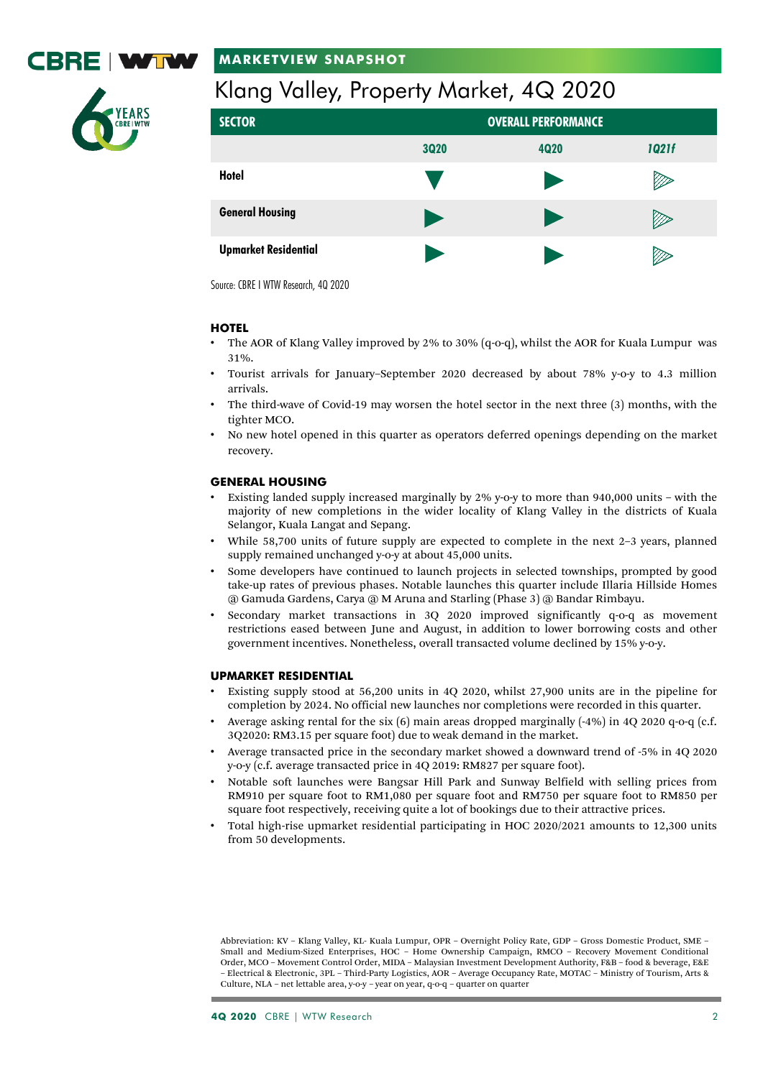

# **MARKETVIEW SNAPSHOT**



# Klang Valley, Property Market, 4Q 2020

| <b>SECTOR</b>               | <b>OVERALL PERFORMANCE</b> |      |       |  |  |  |
|-----------------------------|----------------------------|------|-------|--|--|--|
|                             | <b>3Q20</b>                | 4Q20 | 1Q21f |  |  |  |
| <b>Hotel</b>                |                            | п.   | v     |  |  |  |
| <b>General Housing</b>      | D                          | - 7  |       |  |  |  |
| <b>Upmarket Residential</b> |                            |      |       |  |  |  |

Source: CBRE I WTW Research, 4Q 2020

# **HOTEL**

- The AOR of Klang Valley improved by 2% to 30% (q-o-q), whilst the AOR for Kuala Lumpur was 31%.
- Tourist arrivals for January–September 2020 decreased by about 78% y-o-y to 4.3 million arrivals.
- The third-wave of Covid-19 may worsen the hotel sector in the next three (3) months, with the tighter MCO.
- No new hotel opened in this quarter as operators deferred openings depending on the market recovery.

# **GENERAL HOUSING**

- Existing landed supply increased marginally by 2% y-o-y to more than 940,000 units with the majority of new completions in the wider locality of Klang Valley in the districts of Kuala Selangor, Kuala Langat and Sepang.
- While 58,700 units of future supply are expected to complete in the next 2–3 years, planned supply remained unchanged y-o-y at about 45,000 units.
- Some developers have continued to launch projects in selected townships, prompted by good take-up rates of previous phases. Notable launches this quarter include Illaria Hillside Homes @ Gamuda Gardens, Carya @ M Aruna and Starling (Phase 3) @ Bandar Rimbayu.
- Secondary market transactions in 3Q 2020 improved significantly q-o-q as movement restrictions eased between June and August, in addition to lower borrowing costs and other government incentives. Nonetheless, overall transacted volume declined by 15% y-o-y.

## **UPMARKET RESIDENTIAL**

- Existing supply stood at 56,200 units in 4Q 2020, whilst 27,900 units are in the pipeline for completion by 2024. No official new launches nor completions were recorded in this quarter.
- Average asking rental for the six (6) main areas dropped marginally (-4%) in 4Q 2020 q-o-q (c.f. 3Q2020: RM3.15 per square foot) due to weak demand in the market.
- Average transacted price in the secondary market showed a downward trend of -5% in 4Q 2020 y-o-y (c.f. average transacted price in 4Q 2019: RM827 per square foot).
- Notable soft launches were Bangsar Hill Park and Sunway Belfield with selling prices from RM910 per square foot to RM1,080 per square foot and RM750 per square foot to RM850 per square foot respectively, receiving quite a lot of bookings due to their attractive prices.
- Total high-rise upmarket residential participating in HOC 2020/2021 amounts to 12,300 units from 50 developments.

Abbreviation: KV – Klang Valley, KL- Kuala Lumpur, OPR – Overnight Policy Rate, GDP – Gross Domestic Product, SME – Small and Medium-Sized Enterprises, HOC – Home Ownership Campaign, RMCO – Recovery Movement Conditional Order, MCO – Movement Control Order, MIDA – Malaysian Investment Development Authority, F&B – food & beverage, E&E – Electrical & Electronic, 3PL – Third-Party Logistics, AOR – Average Occupancy Rate, MOTAC – Ministry of Tourism, Arts & Culture, NLA – net lettable area, y-o-y – year on year, q-o-q – quarter on quarter